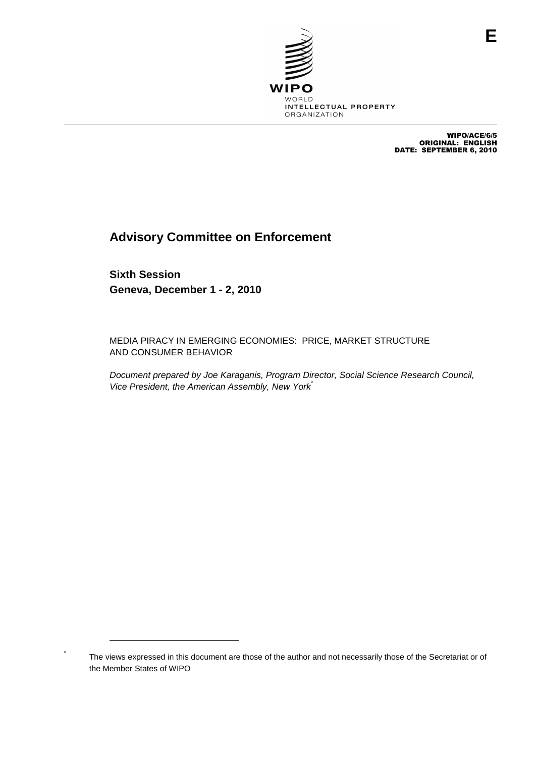

WIPO/ACE/6/5 ORIGINAL: ENGLISH DATE: SEPTEMBER 6, 2010

# **Advisory Committee on Enforcement**

**Sixth Session Geneva, December 1 - 2, 2010**

MEDIA PIRACY IN EMERGING ECONOMIES: PRICE, MARKET STRUCTURE AND CONSUMER BEHAVIOR

Document prepared by Joe Karaganis, Program Director, Social Science Research Council, Vice President, the American Assembly, New York<sup>\*</sup>

The views expressed in this document are those of the author and not necessarily those of the Secretariat or of the Member States of WIPO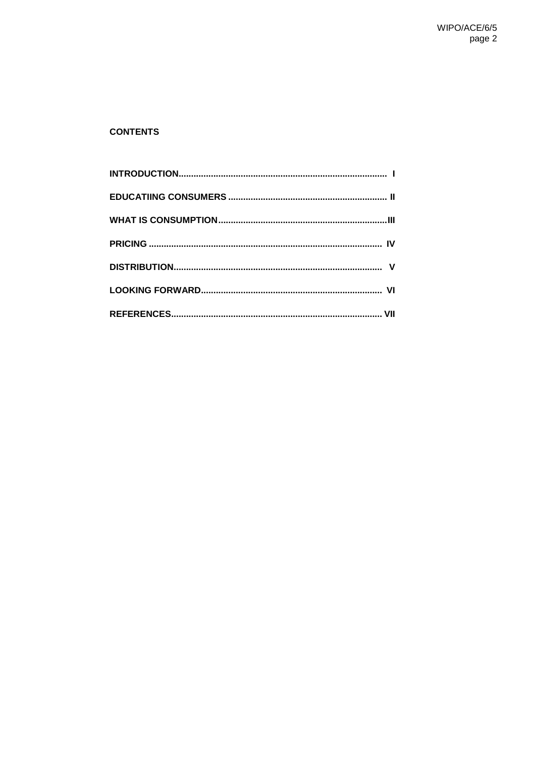# **CONTENTS**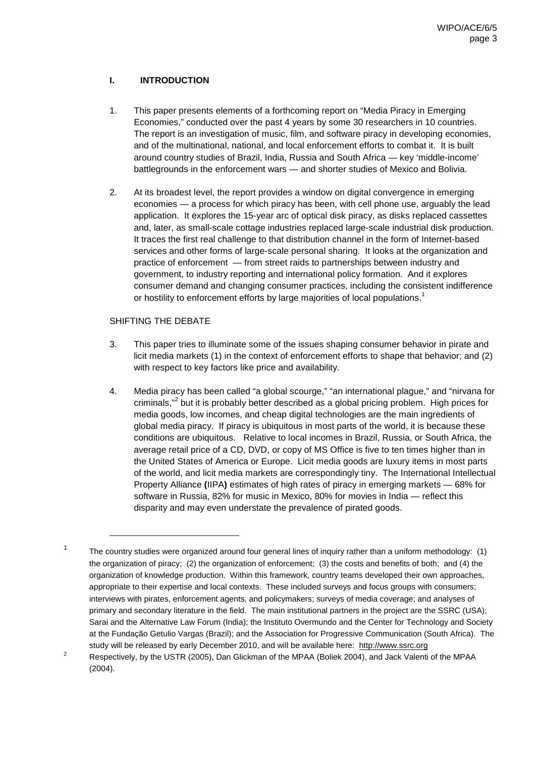# **I. INTRODUCTION**

- 1. This paper presents elements of a forthcoming report on "Media Piracy in Emerging Economies," conducted over the past 4 years by some 30 researchers in 10 countries. The report is an investigation of music, film, and software piracy in developing economies, and of the multinational, national, and local enforcement efforts to combat it. It is built around country studies of Brazil, India, Russia and South Africa — key 'middle-income' battlegrounds in the enforcement wars — and shorter studies of Mexico and Bolivia.
- 2. At its broadest level, the report provides a window on digital convergence in emerging economies — a process for which piracy has been, with cell phone use, arguably the lead application. It explores the 15-year arc of optical disk piracy, as disks replaced cassettes and, later, as small-scale cottage industries replaced large-scale industrial disk production. It traces the first real challenge to that distribution channel in the form of Internet-based services and other forms of large-scale personal sharing. It looks at the organization and practice of enforcement — from street raids to partnerships between industry and government, to industry reporting and international policy formation. And it explores consumer demand and changing consumer practices, including the consistent indifference or hostility to enforcement efforts by large majorities of local populations.<sup>1</sup>

# SHIFTING THE DEBATE

- 3. This paper tries to illuminate some of the issues shaping consumer behavior in pirate and licit media markets (1) in the context of enforcement efforts to shape that behavior; and (2) with respect to key factors like price and availability.
- 4. Media piracy has been called "a global scourge," "an international plague," and "nirvana for criminals,"<sup>2</sup> but it is probably better described as a global pricing problem. High prices for media goods, low incomes, and cheap digital technologies are the main ingredients of global media piracy. If piracy is ubiquitous in most parts of the world, it is because these conditions are ubiquitous. Relative to local incomes in Brazil, Russia, or South Africa, the average retail price of a CD, DVD, or copy of MS Office is five to ten times higher than in the United States of America or Europe. Licit media goods are luxury items in most parts of the world, and licit media markets are correspondingly tiny. The International Intellectual Property Alliance **(**IIPA**)** estimates of high rates of piracy in emerging markets — 68% for software in Russia, 82% for music in Mexico, 80% for movies in India — reflect this disparity and may even understate the prevalence of pirated goods.

<sup>&</sup>lt;sup>1</sup> The country studies were organized around four general lines of inquiry rather than a uniform methodology: (1) the organization of piracy; (2) the organization of enforcement; (3) the costs and benefits of both; and (4) the organization of knowledge production. Within this framework, country teams developed their own approaches, appropriate to their expertise and local contexts. These included surveys and focus groups with consumers; interviews with pirates, enforcement agents, and policymakers; surveys of media coverage; and analyses of primary and secondary literature in the field. The main institutional partners in the project are the SSRC (USA); Sarai and the Alternative Law Forum (India); the Instituto Overmundo and the Center for Technology and Society at the Fundação Getulio Vargas (Brazil); and the Association for Progressive Communication (South Africa). The study will be released by early December 2010, and will be available here: http://www.ssrc.org

<sup>&</sup>lt;sup>2</sup> Respectively, by the USTR (2005), Dan Glickman of the MPAA (Boliek 2004), and Jack Valenti of the MPAA (2004).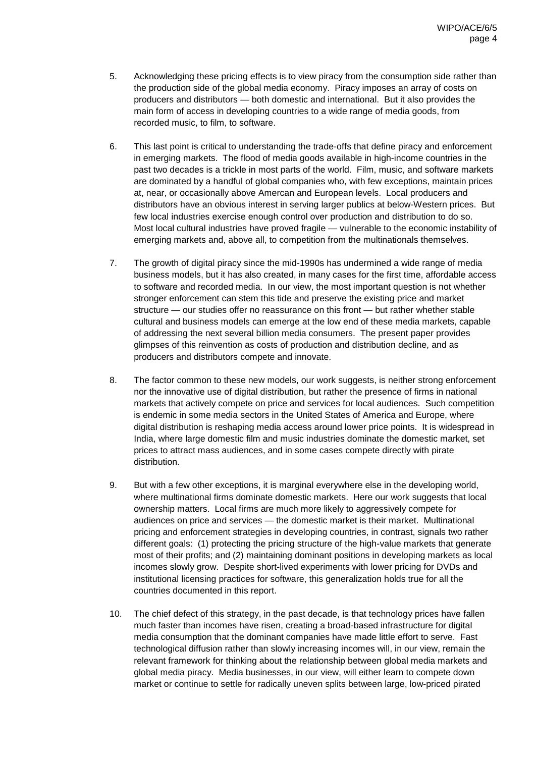- 5. Acknowledging these pricing effects is to view piracy from the consumption side rather than the production side of the global media economy. Piracy imposes an array of costs on producers and distributors — both domestic and international. But it also provides the main form of access in developing countries to a wide range of media goods, from recorded music, to film, to software.
- 6. This last point is critical to understanding the trade-offs that define piracy and enforcement in emerging markets. The flood of media goods available in high-income countries in the past two decades is a trickle in most parts of the world. Film, music, and software markets are dominated by a handful of global companies who, with few exceptions, maintain prices at, near, or occasionally above Amercan and European levels. Local producers and distributors have an obvious interest in serving larger publics at below-Western prices. But few local industries exercise enough control over production and distribution to do so. Most local cultural industries have proved fragile — vulnerable to the economic instability of emerging markets and, above all, to competition from the multinationals themselves.
- 7. The growth of digital piracy since the mid-1990s has undermined a wide range of media business models, but it has also created, in many cases for the first time, affordable access to software and recorded media. In our view, the most important question is not whether stronger enforcement can stem this tide and preserve the existing price and market structure — our studies offer no reassurance on this front — but rather whether stable cultural and business models can emerge at the low end of these media markets, capable of addressing the next several billion media consumers. The present paper provides glimpses of this reinvention as costs of production and distribution decline, and as producers and distributors compete and innovate.
- 8. The factor common to these new models, our work suggests, is neither strong enforcement nor the innovative use of digital distribution, but rather the presence of firms in national markets that actively compete on price and services for local audiences. Such competition is endemic in some media sectors in the United States of America and Europe, where digital distribution is reshaping media access around lower price points. It is widespread in India, where large domestic film and music industries dominate the domestic market, set prices to attract mass audiences, and in some cases compete directly with pirate distribution.
- 9. But with a few other exceptions, it is marginal everywhere else in the developing world, where multinational firms dominate domestic markets. Here our work suggests that local ownership matters. Local firms are much more likely to aggressively compete for audiences on price and services — the domestic market is their market. Multinational pricing and enforcement strategies in developing countries, in contrast, signals two rather different goals: (1) protecting the pricing structure of the high-value markets that generate most of their profits; and (2) maintaining dominant positions in developing markets as local incomes slowly grow. Despite short-lived experiments with lower pricing for DVDs and institutional licensing practices for software, this generalization holds true for all the countries documented in this report.
- 10. The chief defect of this strategy, in the past decade, is that technology prices have fallen much faster than incomes have risen, creating a broad-based infrastructure for digital media consumption that the dominant companies have made little effort to serve. Fast technological diffusion rather than slowly increasing incomes will, in our view, remain the relevant framework for thinking about the relationship between global media markets and global media piracy. Media businesses, in our view, will either learn to compete down market or continue to settle for radically uneven splits between large, low-priced pirated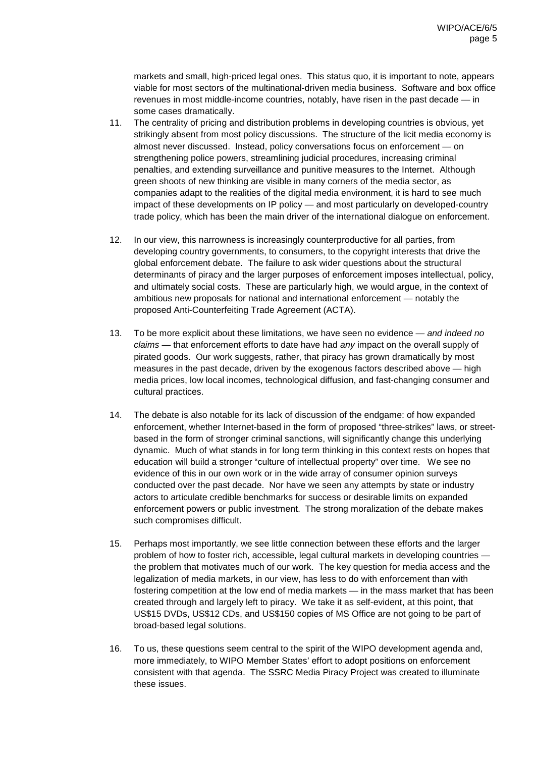markets and small, high-priced legal ones. This status quo, it is important to note, appears viable for most sectors of the multinational-driven media business. Software and box office revenues in most middle-income countries, notably, have risen in the past decade — in some cases dramatically.

- 11. The centrality of pricing and distribution problems in developing countries is obvious, yet strikingly absent from most policy discussions. The structure of the licit media economy is almost never discussed. Instead, policy conversations focus on enforcement — on strengthening police powers, streamlining judicial procedures, increasing criminal penalties, and extending surveillance and punitive measures to the Internet. Although green shoots of new thinking are visible in many corners of the media sector, as companies adapt to the realities of the digital media environment, it is hard to see much impact of these developments on IP policy — and most particularly on developed-country trade policy, which has been the main driver of the international dialogue on enforcement.
- 12. In our view, this narrowness is increasingly counterproductive for all parties, from developing country governments, to consumers, to the copyright interests that drive the global enforcement debate. The failure to ask wider questions about the structural determinants of piracy and the larger purposes of enforcement imposes intellectual, policy, and ultimately social costs. These are particularly high, we would argue, in the context of ambitious new proposals for national and international enforcement — notably the proposed Anti-Counterfeiting Trade Agreement (ACTA).
- 13. To be more explicit about these limitations, we have seen no evidence and indeed no  $claims$  — that enforcement efforts to date have had any impact on the overall supply of pirated goods. Our work suggests, rather, that piracy has grown dramatically by most measures in the past decade, driven by the exogenous factors described above — high media prices, low local incomes, technological diffusion, and fast-changing consumer and cultural practices.
- 14. The debate is also notable for its lack of discussion of the endgame: of how expanded enforcement, whether Internet-based in the form of proposed "three-strikes" laws, or streetbased in the form of stronger criminal sanctions, will significantly change this underlying dynamic. Much of what stands in for long term thinking in this context rests on hopes that education will build a stronger "culture of intellectual property" over time. We see no evidence of this in our own work or in the wide array of consumer opinion surveys conducted over the past decade. Nor have we seen any attempts by state or industry actors to articulate credible benchmarks for success or desirable limits on expanded enforcement powers or public investment. The strong moralization of the debate makes such compromises difficult.
- 15. Perhaps most importantly, we see little connection between these efforts and the larger problem of how to foster rich, accessible, legal cultural markets in developing countries the problem that motivates much of our work. The key question for media access and the legalization of media markets, in our view, has less to do with enforcement than with fostering competition at the low end of media markets — in the mass market that has been created through and largely left to piracy. We take it as self-evident, at this point, that US\$15 DVDs, US\$12 CDs, and US\$150 copies of MS Office are not going to be part of broad-based legal solutions.
- 16. To us, these questions seem central to the spirit of the WIPO development agenda and, more immediately, to WIPO Member States' effort to adopt positions on enforcement consistent with that agenda. The SSRC Media Piracy Project was created to illuminate these issues.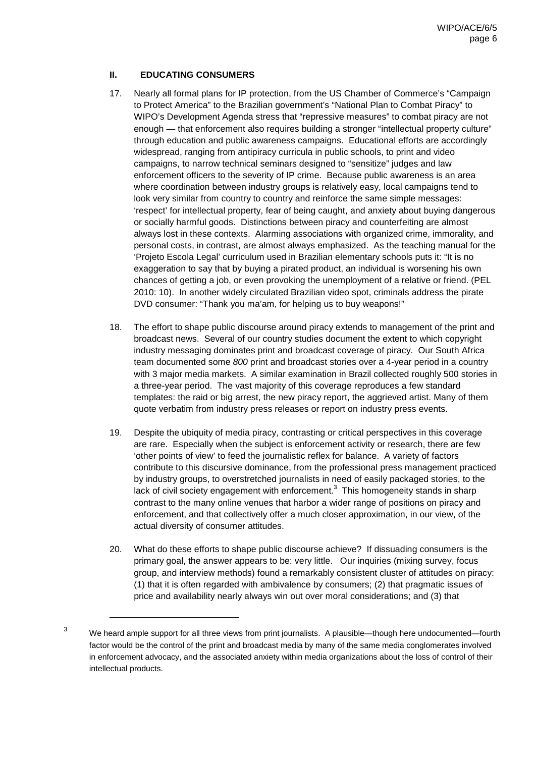# **II. EDUCATING CONSUMERS**

- 17. Nearly all formal plans for IP protection, from the US Chamber of Commerce's "Campaign to Protect America" to the Brazilian government's "National Plan to Combat Piracy" to WIPO's Development Agenda stress that "repressive measures" to combat piracy are not enough — that enforcement also requires building a stronger "intellectual property culture" through education and public awareness campaigns. Educational efforts are accordingly widespread, ranging from antipiracy curricula in public schools, to print and video campaigns, to narrow technical seminars designed to "sensitize" judges and law enforcement officers to the severity of IP crime. Because public awareness is an area where coordination between industry groups is relatively easy, local campaigns tend to look very similar from country to country and reinforce the same simple messages: 'respect' for intellectual property, fear of being caught, and anxiety about buying dangerous or socially harmful goods. Distinctions between piracy and counterfeiting are almost always lost in these contexts. Alarming associations with organized crime, immorality, and personal costs, in contrast, are almost always emphasized. As the teaching manual for the 'Projeto Escola Legal' curriculum used in Brazilian elementary schools puts it: "It is no exaggeration to say that by buying a pirated product, an individual is worsening his own chances of getting a job, or even provoking the unemployment of a relative or friend. (PEL 2010: 10). In another widely circulated Brazilian video spot, criminals address the pirate DVD consumer: "Thank you ma'am, for helping us to buy weapons!"
- 18. The effort to shape public discourse around piracy extends to management of the print and broadcast news. Several of our country studies document the extent to which copyright industry messaging dominates print and broadcast coverage of piracy. Our South Africa team documented some 800 print and broadcast stories over a 4-year period in a country with 3 major media markets. A similar examination in Brazil collected roughly 500 stories in a three-year period. The vast majority of this coverage reproduces a few standard templates: the raid or big arrest, the new piracy report, the aggrieved artist. Many of them quote verbatim from industry press releases or report on industry press events.
- 19. Despite the ubiquity of media piracy, contrasting or critical perspectives in this coverage are rare. Especially when the subject is enforcement activity or research, there are few 'other points of view' to feed the journalistic reflex for balance. A variety of factors contribute to this discursive dominance, from the professional press management practiced by industry groups, to overstretched journalists in need of easily packaged stories, to the lack of civil society engagement with enforcement. $<sup>3</sup>$  This homogeneity stands in sharp</sup> contrast to the many online venues that harbor a wider range of positions on piracy and enforcement, and that collectively offer a much closer approximation, in our view, of the actual diversity of consumer attitudes.
- 20. What do these efforts to shape public discourse achieve? If dissuading consumers is the primary goal, the answer appears to be: very little. Our inquiries (mixing survey, focus group, and interview methods) found a remarkably consistent cluster of attitudes on piracy: (1) that it is often regarded with ambivalence by consumers; (2) that pragmatic issues of price and availability nearly always win out over moral considerations; and (3) that

<sup>&</sup>lt;sup>3</sup> We heard ample support for all three views from print journalists. A plausible—though here undocumented—fourth factor would be the control of the print and broadcast media by many of the same media conglomerates involved in enforcement advocacy, and the associated anxiety within media organizations about the loss of control of their intellectual products.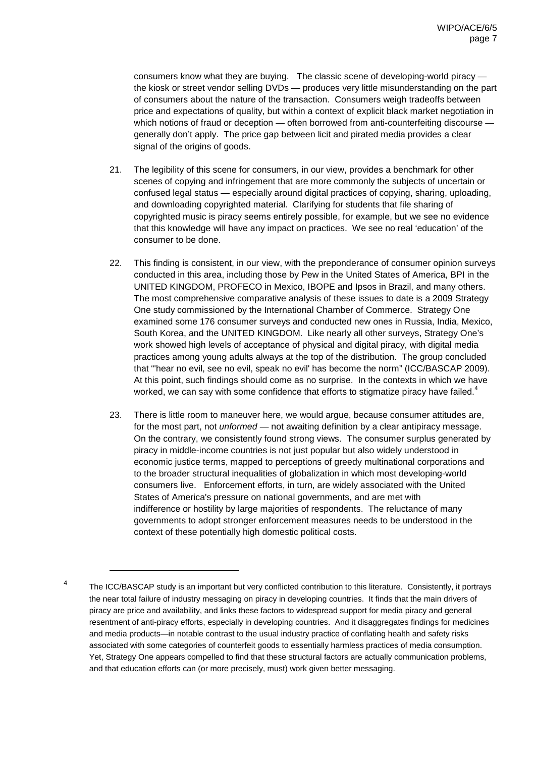consumers know what they are buying. The classic scene of developing-world piracy the kiosk or street vendor selling DVDs — produces very little misunderstanding on the part of consumers about the nature of the transaction. Consumers weigh tradeoffs between price and expectations of quality, but within a context of explicit black market negotiation in which notions of fraud or deception — often borrowed from anti-counterfeiting discourse generally don't apply. The price gap between licit and pirated media provides a clear signal of the origins of goods.

- 21. The legibility of this scene for consumers, in our view, provides a benchmark for other scenes of copying and infringement that are more commonly the subjects of uncertain or confused legal status — especially around digital practices of copying, sharing, uploading, and downloading copyrighted material. Clarifying for students that file sharing of copyrighted music is piracy seems entirely possible, for example, but we see no evidence that this knowledge will have any impact on practices. We see no real 'education' of the consumer to be done.
- 22. This finding is consistent, in our view, with the preponderance of consumer opinion surveys conducted in this area, including those by Pew in the United States of America, BPI in the UNITED KINGDOM, PROFECO in Mexico, IBOPE and Ipsos in Brazil, and many others. The most comprehensive comparative analysis of these issues to date is a 2009 Strategy One study commissioned by the International Chamber of Commerce. Strategy One examined some 176 consumer surveys and conducted new ones in Russia, India, Mexico, South Korea, and the UNITED KINGDOM. Like nearly all other surveys, Strategy One's work showed high levels of acceptance of physical and digital piracy, with digital media practices among young adults always at the top of the distribution. The group concluded that "'hear no evil, see no evil, speak no evil' has become the norm" (ICC/BASCAP 2009). At this point, such findings should come as no surprise. In the contexts in which we have worked, we can say with some confidence that efforts to stigmatize piracy have failed.<sup>4</sup>
- 23. There is little room to maneuver here, we would argue, because consumer attitudes are, for the most part, not *unformed* — not awaiting definition by a clear antipiracy message. On the contrary, we consistently found strong views. The consumer surplus generated by piracy in middle-income countries is not just popular but also widely understood in economic justice terms, mapped to perceptions of greedy multinational corporations and to the broader structural inequalities of globalization in which most developing-world consumers live. Enforcement efforts, in turn, are widely associated with the United States of America's pressure on national governments, and are met with indifference or hostility by large majorities of respondents. The reluctance of many governments to adopt stronger enforcement measures needs to be understood in the context of these potentially high domestic political costs.

<sup>&</sup>lt;sup>4</sup> The ICC/BASCAP study is an important but very conflicted contribution to this literature. Consistently, it portrays the near total failure of industry messaging on piracy in developing countries. It finds that the main drivers of piracy are price and availability, and links these factors to widespread support for media piracy and general resentment of anti-piracy efforts, especially in developing countries. And it disaggregates findings for medicines and media products—in notable contrast to the usual industry practice of conflating health and safety risks associated with some categories of counterfeit goods to essentially harmless practices of media consumption. Yet, Strategy One appears compelled to find that these structural factors are actually communication problems, and that education efforts can (or more precisely, must) work given better messaging.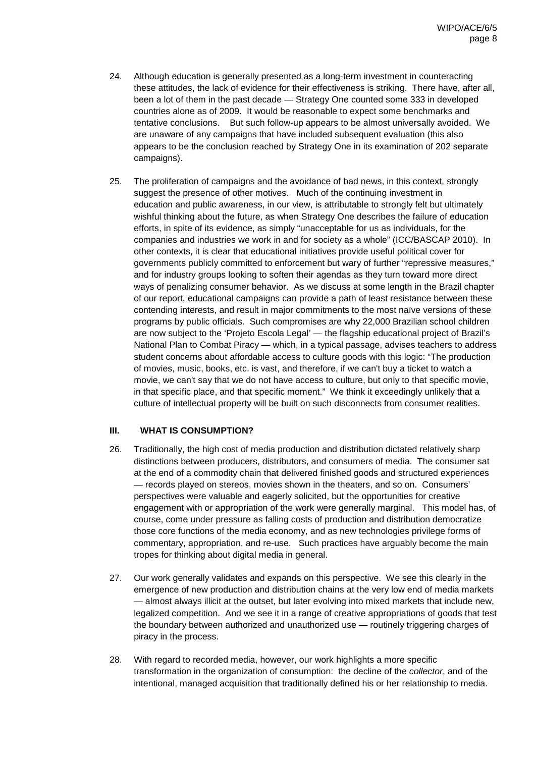- 24. Although education is generally presented as a long-term investment in counteracting these attitudes, the lack of evidence for their effectiveness is striking. There have, after all, been a lot of them in the past decade — Strategy One counted some 333 in developed countries alone as of 2009. It would be reasonable to expect some benchmarks and tentative conclusions. But such follow-up appears to be almost universally avoided. We are unaware of any campaigns that have included subsequent evaluation (this also appears to be the conclusion reached by Strategy One in its examination of 202 separate campaigns).
- 25. The proliferation of campaigns and the avoidance of bad news, in this context, strongly suggest the presence of other motives. Much of the continuing investment in education and public awareness, in our view, is attributable to strongly felt but ultimately wishful thinking about the future, as when Strategy One describes the failure of education efforts, in spite of its evidence, as simply "unacceptable for us as individuals, for the companies and industries we work in and for society as a whole" (ICC/BASCAP 2010). In other contexts, it is clear that educational initiatives provide useful political cover for governments publicly committed to enforcement but wary of further "repressive measures," and for industry groups looking to soften their agendas as they turn toward more direct ways of penalizing consumer behavior. As we discuss at some length in the Brazil chapter of our report, educational campaigns can provide a path of least resistance between these contending interests, and result in major commitments to the most naïve versions of these programs by public officials. Such compromises are why 22,000 Brazilian school children are now subject to the 'Projeto Escola Legal' — the flagship educational project of Brazil's National Plan to Combat Piracy — which, in a typical passage, advises teachers to address student concerns about affordable access to culture goods with this logic: "The production of movies, music, books, etc. is vast, and therefore, if we can't buy a ticket to watch a movie, we can't say that we do not have access to culture, but only to that specific movie, in that specific place, and that specific moment." We think it exceedingly unlikely that a culture of intellectual property will be built on such disconnects from consumer realities.

# **III. WHAT IS CONSUMPTION?**

- 26. Traditionally, the high cost of media production and distribution dictated relatively sharp distinctions between producers, distributors, and consumers of media. The consumer sat at the end of a commodity chain that delivered finished goods and structured experiences — records played on stereos, movies shown in the theaters, and so on. Consumers' perspectives were valuable and eagerly solicited, but the opportunities for creative engagement with or appropriation of the work were generally marginal. This model has, of course, come under pressure as falling costs of production and distribution democratize those core functions of the media economy, and as new technologies privilege forms of commentary, appropriation, and re-use. Such practices have arguably become the main tropes for thinking about digital media in general.
- 27. Our work generally validates and expands on this perspective. We see this clearly in the emergence of new production and distribution chains at the very low end of media markets — almost always illicit at the outset, but later evolving into mixed markets that include new, legalized competition. And we see it in a range of creative appropriations of goods that test the boundary between authorized and unauthorized use — routinely triggering charges of piracy in the process.
- 28. With regard to recorded media, however, our work highlights a more specific transformation in the organization of consumption: the decline of the collector, and of the intentional, managed acquisition that traditionally defined his or her relationship to media.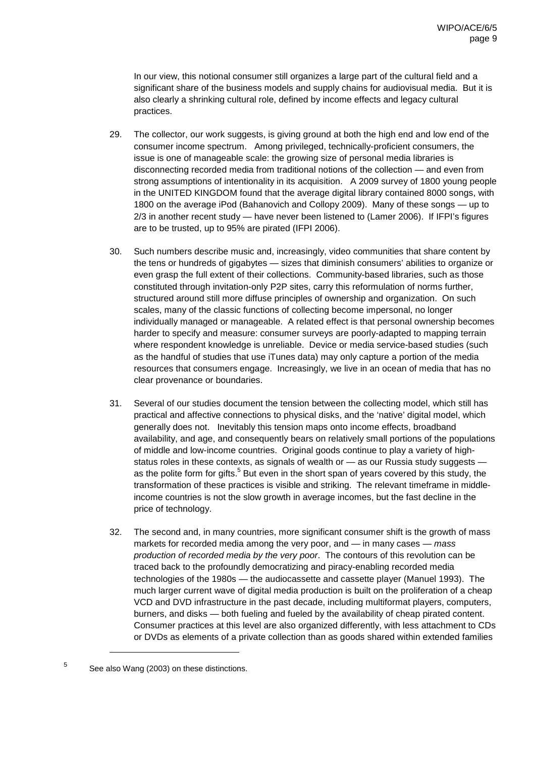In our view, this notional consumer still organizes a large part of the cultural field and a significant share of the business models and supply chains for audiovisual media. But it is also clearly a shrinking cultural role, defined by income effects and legacy cultural practices.

- 29. The collector, our work suggests, is giving ground at both the high end and low end of the consumer income spectrum. Among privileged, technically-proficient consumers, the issue is one of manageable scale: the growing size of personal media libraries is disconnecting recorded media from traditional notions of the collection — and even from strong assumptions of intentionality in its acquisition. A 2009 survey of 1800 young people in the UNITED KINGDOM found that the average digital library contained 8000 songs, with 1800 on the average iPod (Bahanovich and Collopy 2009). Many of these songs — up to 2/3 in another recent study — have never been listened to (Lamer 2006). If IFPI's figures are to be trusted, up to 95% are pirated (IFPI 2006).
- 30. Such numbers describe music and, increasingly, video communities that share content by the tens or hundreds of gigabytes — sizes that diminish consumers' abilities to organize or even grasp the full extent of their collections. Community-based libraries, such as those constituted through invitation-only P2P sites, carry this reformulation of norms further, structured around still more diffuse principles of ownership and organization. On such scales, many of the classic functions of collecting become impersonal, no longer individually managed or manageable. A related effect is that personal ownership becomes harder to specify and measure: consumer surveys are poorly-adapted to mapping terrain where respondent knowledge is unreliable. Device or media service-based studies (such as the handful of studies that use iTunes data) may only capture a portion of the media resources that consumers engage. Increasingly, we live in an ocean of media that has no clear provenance or boundaries.
- 31. Several of our studies document the tension between the collecting model, which still has practical and affective connections to physical disks, and the 'native' digital model, which generally does not. Inevitably this tension maps onto income effects, broadband availability, and age, and consequently bears on relatively small portions of the populations of middle and low-income countries. Original goods continue to play a variety of highstatus roles in these contexts, as signals of wealth or  $-$  as our Russia study suggests as the polite form for gifts.<sup>5</sup> But even in the short span of years covered by this study, the transformation of these practices is visible and striking. The relevant timeframe in middleincome countries is not the slow growth in average incomes, but the fast decline in the price of technology.
- 32. The second and, in many countries, more significant consumer shift is the growth of mass markets for recorded media among the very poor, and  $-$  in many cases  $-$  mass production of recorded media by the very poor. The contours of this revolution can be traced back to the profoundly democratizing and piracy-enabling recorded media technologies of the 1980s — the audiocassette and cassette player (Manuel 1993). The much larger current wave of digital media production is built on the proliferation of a cheap VCD and DVD infrastructure in the past decade, including multiformat players, computers, burners, and disks — both fueling and fueled by the availability of cheap pirated content. Consumer practices at this level are also organized differently, with less attachment to CDs or DVDs as elements of a private collection than as goods shared within extended families

<sup>5</sup> See also Wang (2003) on these distinctions.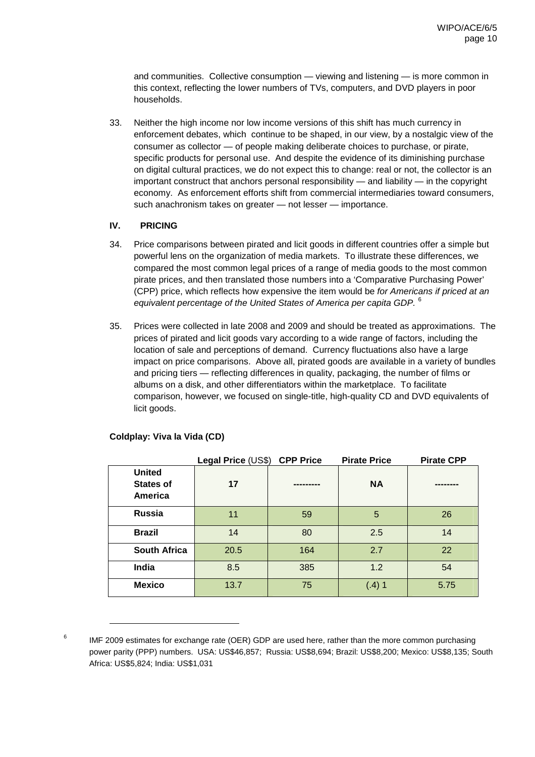and communities. Collective consumption — viewing and listening — is more common in this context, reflecting the lower numbers of TVs, computers, and DVD players in poor households.

33. Neither the high income nor low income versions of this shift has much currency in enforcement debates, which continue to be shaped, in our view, by a nostalgic view of the consumer as collector — of people making deliberate choices to purchase, or pirate, specific products for personal use. And despite the evidence of its diminishing purchase on digital cultural practices, we do not expect this to change: real or not, the collector is an important construct that anchors personal responsibility — and liability — in the copyright economy. As enforcement efforts shift from commercial intermediaries toward consumers, such anachronism takes on greater — not lesser — importance.

# **IV. PRICING**

- 34. Price comparisons between pirated and licit goods in different countries offer a simple but powerful lens on the organization of media markets. To illustrate these differences, we compared the most common legal prices of a range of media goods to the most common pirate prices, and then translated those numbers into a 'Comparative Purchasing Power' (CPP) price, which reflects how expensive the item would be for Americans if priced at an equivalent percentage of the United States of America per capita GDP. <sup>6</sup>
- 35. Prices were collected in late 2008 and 2009 and should be treated as approximations. The prices of pirated and licit goods vary according to a wide range of factors, including the location of sale and perceptions of demand. Currency fluctuations also have a large impact on price comparisons. Above all, pirated goods are available in a variety of bundles and pricing tiers — reflecting differences in quality, packaging, the number of films or albums on a disk, and other differentiators within the marketplace. To facilitate comparison, however, we focused on single-title, high-quality CD and DVD equivalents of licit goods.

|                                                     | Legal Price (US\$) | <b>CPP Price</b> | <b>Pirate Price</b> | <b>Pirate CPP</b> |
|-----------------------------------------------------|--------------------|------------------|---------------------|-------------------|
| <b>United</b><br><b>States of</b><br><b>America</b> | 17                 | -------          | <b>NA</b>           |                   |
| <b>Russia</b>                                       | 11                 | 59               | 5                   | 26                |
| <b>Brazil</b>                                       | 14                 | 80               | 2.5                 | 14                |
| <b>South Africa</b>                                 | 20.5               | 164              | 2.7                 | 22                |
| India                                               | 8.5                | 385              | 1.2                 | 54                |
| <b>Mexico</b>                                       | 13.7               | 75               | $(.4)$ 1            | 5.75              |

## **Coldplay: Viva la Vida (CD)**

 $6$  IMF 2009 estimates for exchange rate (OER) GDP are used here, rather than the more common purchasing power parity (PPP) numbers. USA: US\$46,857; Russia: US\$8,694; Brazil: US\$8,200; Mexico: US\$8,135; South Africa: US\$5,824; India: US\$1,031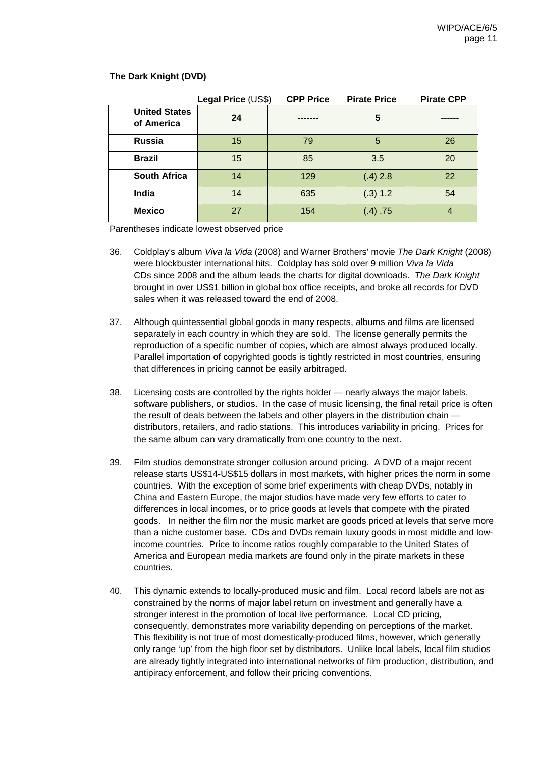|                                    | Legal Price (US\$) | <b>CPP Price</b> | <b>Pirate Price</b> | <b>Pirate CPP</b> |
|------------------------------------|--------------------|------------------|---------------------|-------------------|
| <b>United States</b><br>of America | 24                 |                  | 5                   |                   |
| <b>Russia</b>                      | 15                 | 79               | 5                   | 26                |
| <b>Brazil</b>                      | 15                 | 85               | 3.5                 | 20                |
| <b>South Africa</b>                | 14                 | 129              | $(.4)$ 2.8          | 22                |
| India                              | 14                 | 635              | (.3) 1.2            | 54                |
| <b>Mexico</b>                      | 27                 | 154              | (.4) .75            | 4                 |

#### **The Dark Knight (DVD)**

Parentheses indicate lowest observed price

- 36. Coldplay's album Viva la Vida (2008) and Warner Brothers' movie The Dark Knight (2008) were blockbuster international hits. Coldplay has sold over 9 million Viva la Vida CDs since 2008 and the album leads the charts for digital downloads. The Dark Knight brought in over US\$1 billion in global box office receipts, and broke all records for DVD sales when it was released toward the end of 2008.
- 37. Although quintessential global goods in many respects, albums and films are licensed separately in each country in which they are sold. The license generally permits the reproduction of a specific number of copies, which are almost always produced locally. Parallel importation of copyrighted goods is tightly restricted in most countries, ensuring that differences in pricing cannot be easily arbitraged.
- 38. Licensing costs are controlled by the rights holder nearly always the major labels, software publishers, or studios. In the case of music licensing, the final retail price is often the result of deals between the labels and other players in the distribution chain distributors, retailers, and radio stations. This introduces variability in pricing. Prices for the same album can vary dramatically from one country to the next.
- 39. Film studios demonstrate stronger collusion around pricing. A DVD of a major recent release starts US\$14-US\$15 dollars in most markets, with higher prices the norm in some countries. With the exception of some brief experiments with cheap DVDs, notably in China and Eastern Europe, the major studios have made very few efforts to cater to differences in local incomes, or to price goods at levels that compete with the pirated goods. In neither the film nor the music market are goods priced at levels that serve more than a niche customer base. CDs and DVDs remain luxury goods in most middle and lowincome countries. Price to income ratios roughly comparable to the United States of America and European media markets are found only in the pirate markets in these countries.
- 40. This dynamic extends to locally-produced music and film. Local record labels are not as constrained by the norms of major label return on investment and generally have a stronger interest in the promotion of local live performance. Local CD pricing, consequently, demonstrates more variability depending on perceptions of the market. This flexibility is not true of most domestically-produced films, however, which generally only range 'up' from the high floor set by distributors. Unlike local labels, local film studios are already tightly integrated into international networks of film production, distribution, and antipiracy enforcement, and follow their pricing conventions.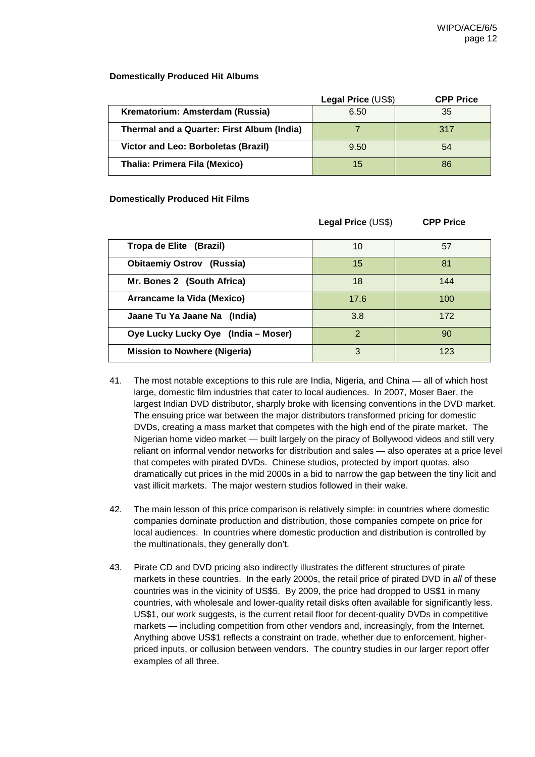## **Domestically Produced Hit Albums**

|                                            | Legal Price (US\$) | <b>CPP Price</b> |
|--------------------------------------------|--------------------|------------------|
| Krematorium: Amsterdam (Russia)            | 6.50               | 35               |
| Thermal and a Quarter: First Album (India) |                    | 317              |
| Victor and Leo: Borboletas (Brazil)        | 9.50               | 54               |
| Thalia: Primera Fila (Mexico)              | 15                 | 86               |

## **Domestically Produced Hit Films**

|                                     | Legal Price (US\$) | <b>CPP Price</b> |
|-------------------------------------|--------------------|------------------|
| Tropa de Elite (Brazil)             | 10                 | 57               |
| <b>Obitaemiy Ostrov (Russia)</b>    | 15                 | 81               |
| Mr. Bones 2 (South Africa)          | 18                 | 144              |
| Arrancame la Vida (Mexico)          | 17.6               | 100              |
| Jaane Tu Ya Jaane Na (India)        | 3.8                | 172              |
| Oye Lucky Lucky Oye (India – Moser) | $\overline{2}$     | 90               |
| <b>Mission to Nowhere (Nigeria)</b> | 3                  | 123              |

- 41. The most notable exceptions to this rule are India, Nigeria, and China all of which host large, domestic film industries that cater to local audiences. In 2007, Moser Baer, the largest Indian DVD distributor, sharply broke with licensing conventions in the DVD market. The ensuing price war between the major distributors transformed pricing for domestic DVDs, creating a mass market that competes with the high end of the pirate market. The Nigerian home video market — built largely on the piracy of Bollywood videos and still very reliant on informal vendor networks for distribution and sales — also operates at a price level that competes with pirated DVDs. Chinese studios, protected by import quotas, also dramatically cut prices in the mid 2000s in a bid to narrow the gap between the tiny licit and vast illicit markets. The major western studios followed in their wake.
- 42. The main lesson of this price comparison is relatively simple: in countries where domestic companies dominate production and distribution, those companies compete on price for local audiences. In countries where domestic production and distribution is controlled by the multinationals, they generally don't.
- 43. Pirate CD and DVD pricing also indirectly illustrates the different structures of pirate markets in these countries. In the early 2000s, the retail price of pirated DVD in all of these countries was in the vicinity of US\$5. By 2009, the price had dropped to US\$1 in many countries, with wholesale and lower-quality retail disks often available for significantly less. US\$1, our work suggests, is the current retail floor for decent-quality DVDs in competitive markets — including competition from other vendors and, increasingly, from the Internet. Anything above US\$1 reflects a constraint on trade, whether due to enforcement, higherpriced inputs, or collusion between vendors. The country studies in our larger report offer examples of all three.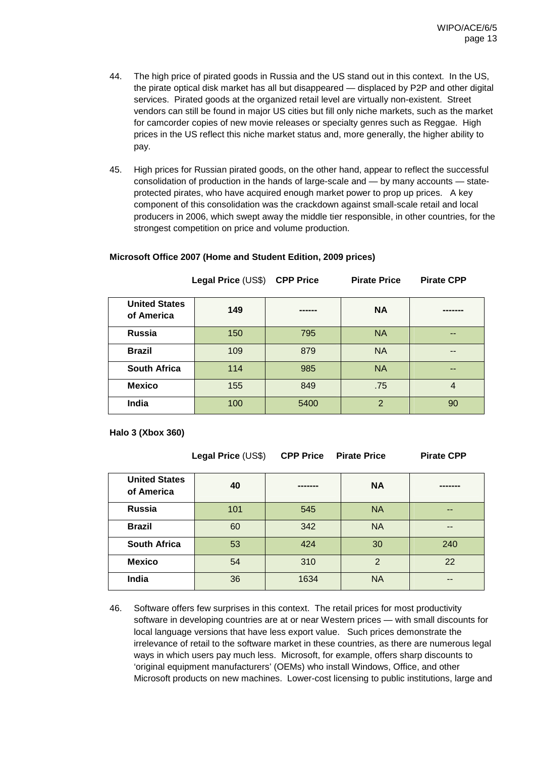- 44. The high price of pirated goods in Russia and the US stand out in this context. In the US, the pirate optical disk market has all but disappeared — displaced by P2P and other digital services. Pirated goods at the organized retail level are virtually non-existent. Street vendors can still be found in major US cities but fill only niche markets, such as the market for camcorder copies of new movie releases or specialty genres such as Reggae. High prices in the US reflect this niche market status and, more generally, the higher ability to pay.
- 45. High prices for Russian pirated goods, on the other hand, appear to reflect the successful consolidation of production in the hands of large-scale and — by many accounts — stateprotected pirates, who have acquired enough market power to prop up prices. A key component of this consolidation was the crackdown against small-scale retail and local producers in 2006, which swept away the middle tier responsible, in other countries, for the strongest competition on price and volume production.

|                                    | Legal Price (US\$) CPP Price |      | <b>Pirate Price</b> | <b>Pirate CPP</b> |
|------------------------------------|------------------------------|------|---------------------|-------------------|
| <b>United States</b><br>of America | 149                          |      | <b>NA</b>           |                   |
| Russia                             | 150                          | 795  | <b>NA</b>           | --                |
| <b>Brazil</b>                      | 109                          | 879  | <b>NA</b>           | --                |
| <b>South Africa</b>                | 114                          | 985  | <b>NA</b>           | $- -$             |
| <b>Mexico</b>                      | 155                          | 849  | .75                 | 4                 |
| India                              | 100                          | 5400 | $\overline{2}$      | 90                |

## **Microsoft Office 2007 (Home and Student Edition, 2009 prices)**

**Halo 3 (Xbox 360)**

**Legal Price** (US\$) **CPP Price Pirate Price Pirate CPP**

| <b>United States</b><br>of America | 40  |      | <b>NA</b>     |       |
|------------------------------------|-----|------|---------------|-------|
| Russia                             | 101 | 545  | <b>NA</b>     | --    |
| <b>Brazil</b>                      | 60  | 342  | <b>NA</b>     | $- -$ |
| <b>South Africa</b>                | 53  | 424  | 30            | 240   |
| <b>Mexico</b>                      | 54  | 310  | $\mathcal{P}$ | 22    |
| India                              | 36  | 1634 | <b>NA</b>     | --    |

46. Software offers few surprises in this context. The retail prices for most productivity software in developing countries are at or near Western prices — with small discounts for local language versions that have less export value. Such prices demonstrate the irrelevance of retail to the software market in these countries, as there are numerous legal ways in which users pay much less. Microsoft, for example, offers sharp discounts to 'original equipment manufacturers' (OEMs) who install Windows, Office, and other Microsoft products on new machines. Lower-cost licensing to public institutions, large and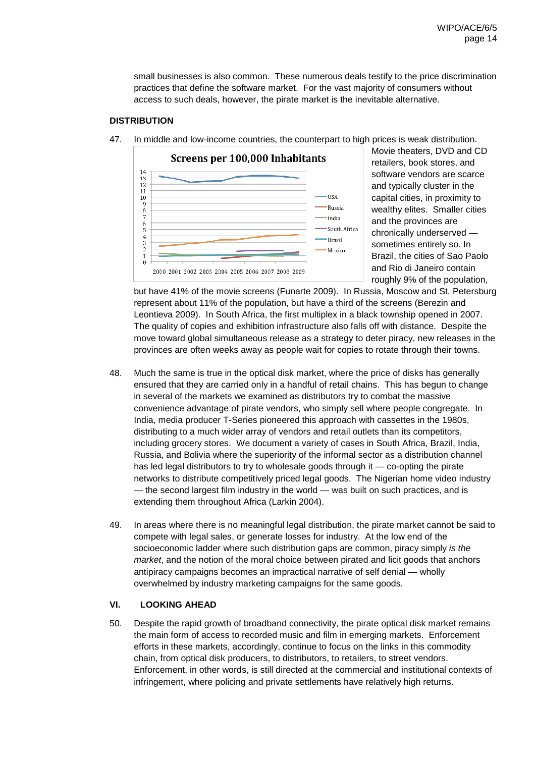small businesses is also common. These numerous deals testify to the price discrimination practices that define the software market. For the vast majority of consumers without access to such deals, however, the pirate market is the inevitable alternative.

#### **DISTRIBUTION**



47. In middle and low-income countries, the counterpart to high prices is weak distribution.

Movie theaters, DVD and CD retailers, book stores, and software vendors are scarce and typically cluster in the capital cities, in proximity to wealthy elites. Smaller cities and the provinces are chronically underserved sometimes entirely so. In Brazil, the cities of Sao Paolo and Rio di Janeiro contain roughly 9% of the population,

but have 41% of the movie screens (Funarte 2009). In Russia, Moscow and St. Petersburg represent about 11% of the population, but have a third of the screens (Berezin and Leontieva 2009). In South Africa, the first multiplex in a black township opened in 2007. The quality of copies and exhibition infrastructure also falls off with distance. Despite the move toward global simultaneous release as a strategy to deter piracy, new releases in the provinces are often weeks away as people wait for copies to rotate through their towns.

- 48. Much the same is true in the optical disk market, where the price of disks has generally ensured that they are carried only in a handful of retail chains. This has begun to change in several of the markets we examined as distributors try to combat the massive convenience advantage of pirate vendors, who simply sell where people congregate. In India, media producer T-Series pioneered this approach with cassettes in the 1980s, distributing to a much wider array of vendors and retail outlets than its competitors, including grocery stores. We document a variety of cases in South Africa, Brazil, India, Russia, and Bolivia where the superiority of the informal sector as a distribution channel has led legal distributors to try to wholesale goods through it — co-opting the pirate networks to distribute competitively priced legal goods. The Nigerian home video industry — the second largest film industry in the world — was built on such practices, and is extending them throughout Africa (Larkin 2004).
- 49. In areas where there is no meaningful legal distribution, the pirate market cannot be said to compete with legal sales, or generate losses for industry. At the low end of the socioeconomic ladder where such distribution gaps are common, piracy simply is the market, and the notion of the moral choice between pirated and licit goods that anchors antipiracy campaigns becomes an impractical narrative of self denial — wholly overwhelmed by industry marketing campaigns for the same goods.

# **VI. LOOKING AHEAD**

50. Despite the rapid growth of broadband connectivity, the pirate optical disk market remains the main form of access to recorded music and film in emerging markets. Enforcement efforts in these markets, accordingly, continue to focus on the links in this commodity chain, from optical disk producers, to distributors, to retailers, to street vendors. Enforcement, in other words, is still directed at the commercial and institutional contexts of infringement, where policing and private settlements have relatively high returns.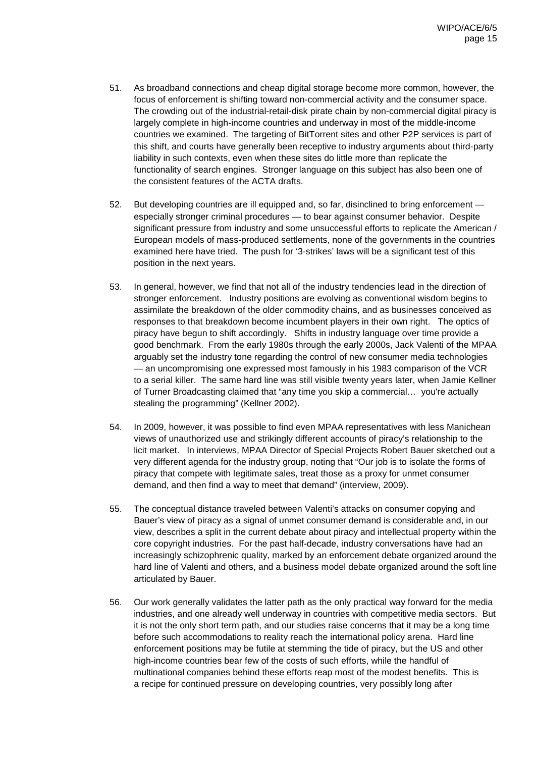- 51. As broadband connections and cheap digital storage become more common, however, the focus of enforcement is shifting toward non-commercial activity and the consumer space. The crowding out of the industrial-retail-disk pirate chain by non-commercial digital piracy is largely complete in high-income countries and underway in most of the middle-income countries we examined. The targeting of BitTorrent sites and other P2P services is part of this shift, and courts have generally been receptive to industry arguments about third-party liability in such contexts, even when these sites do little more than replicate the functionality of search engines. Stronger language on this subject has also been one of the consistent features of the ACTA drafts.
- 52. But developing countries are ill equipped and, so far, disinclined to bring enforcement especially stronger criminal procedures — to bear against consumer behavior. Despite significant pressure from industry and some unsuccessful efforts to replicate the American / European models of mass-produced settlements, none of the governments in the countries examined here have tried. The push for '3-strikes' laws will be a significant test of this position in the next years.
- 53. In general, however, we find that not all of the industry tendencies lead in the direction of stronger enforcement. Industry positions are evolving as conventional wisdom begins to assimilate the breakdown of the older commodity chains, and as businesses conceived as responses to that breakdown become incumbent players in their own right. The optics of piracy have begun to shift accordingly. Shifts in industry language over time provide a good benchmark. From the early 1980s through the early 2000s, Jack Valenti of the MPAA arguably set the industry tone regarding the control of new consumer media technologies — an uncompromising one expressed most famously in his 1983 comparison of the VCR to a serial killer. The same hard line was still visible twenty years later, when Jamie Kellner of Turner Broadcasting claimed that "any time you skip a commercial… you're actually stealing the programming" (Kellner 2002).
- 54. In 2009, however, it was possible to find even MPAA representatives with less Manichean views of unauthorized use and strikingly different accounts of piracy's relationship to the licit market. In interviews, MPAA Director of Special Projects Robert Bauer sketched out a very different agenda for the industry group, noting that "Our job is to isolate the forms of piracy that compete with legitimate sales, treat those as a proxy for unmet consumer demand, and then find a way to meet that demand" (interview, 2009).
- 55. The conceptual distance traveled between Valenti's attacks on consumer copying and Bauer's view of piracy as a signal of unmet consumer demand is considerable and, in our view, describes a split in the current debate about piracy and intellectual property within the core copyright industries. For the past half-decade, industry conversations have had an increasingly schizophrenic quality, marked by an enforcement debate organized around the hard line of Valenti and others, and a business model debate organized around the soft line articulated by Bauer.
- 56. Our work generally validates the latter path as the only practical way forward for the media industries, and one already well underway in countries with competitive media sectors. But it is not the only short term path, and our studies raise concerns that it may be a long time before such accommodations to reality reach the international policy arena. Hard line enforcement positions may be futile at stemming the tide of piracy, but the US and other high-income countries bear few of the costs of such efforts, while the handful of multinational companies behind these efforts reap most of the modest benefits. This is a recipe for continued pressure on developing countries, very possibly long after